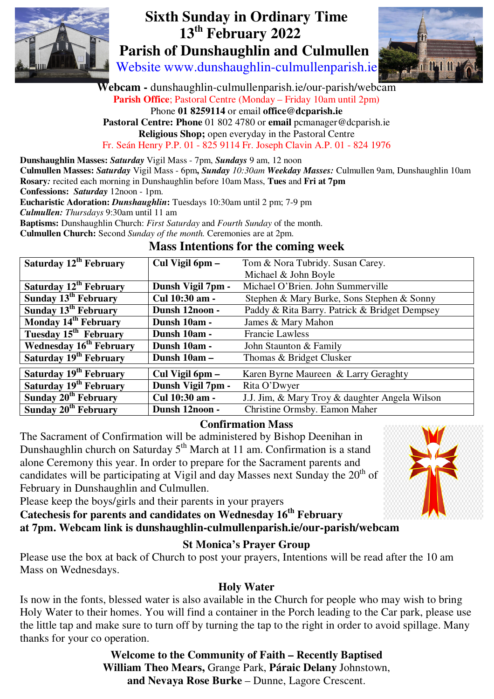

# **Sixth Sunday in Ordinary Time**  **13th February 2022 Parish of Dunshaughlin and Culmullen**

Website www.dunshaughlin-culmullenparish.ie



**Webcam -** dunshaughlin-culmullenparish.ie/our-parish/webcam **Parish Office**; Pastoral Centre (Monday – Friday 10am until 2pm) Phone **01 8259114** or email **office@dcparish.ie Pastoral Centre: Phone** 01 802 4780 or **email** pcmanager@dcparish.ie **Religious Shop;** open everyday in the Pastoral Centre

Fr. Seán Henry P.P. 01 - 825 9114 Fr. Joseph Clavin A.P. 01 - 824 1976

**Dunshaughlin Masses:** *Saturday* Vigil Mass - 7pm, *Sundays* 9 am, 12 noon

**Culmullen Masses:** *Saturday* Vigil Mass - 6pm**,** *Sunday 10:30am Weekday Masses:* Culmullen 9am, Dunshaughlin 10am **Rosary***:* recited each morning in Dunshaughlin before 10am Mass, **Tues** and **Fri at 7pm**

**Confessions:** *Saturday* 12noon - 1pm.

**Eucharistic Adoration:** *Dunshaughlin***:** Tuesdays 10:30am until 2 pm; 7-9 pm

*Culmullen: Thursdays* 9:30am until 11 am

**Baptisms:** Dunshaughlin Church: *First Saturday* and *Fourth Sunday* of the month.

**Culmullen Church:** Second *Sunday of the month.* Ceremonies are at 2pm.

### **Mass Intentions for the coming week**

| Saturday 12 <sup>th</sup> February  | Cul Vigil 6pm -   | Tom & Nora Tubridy. Susan Carey.               |
|-------------------------------------|-------------------|------------------------------------------------|
|                                     |                   | Michael & John Boyle                           |
| Saturday 12 <sup>th</sup> February  | Dunsh Vigil 7pm - | Michael O'Brien. John Summerville              |
| Sunday 13 <sup>th</sup> February    | Cul 10:30 am -    | Stephen & Mary Burke, Sons Stephen & Sonny     |
| Sunday 13 <sup>th</sup> February    | Dunsh 12noon -    | Paddy & Rita Barry. Patrick & Bridget Dempsey  |
| Monday 14 <sup>th</sup> February    | Dunsh 10am -      | James & Mary Mahon                             |
| Tuesday 15 <sup>th</sup> February   | Dunsh 10am -      | <b>Francie Lawless</b>                         |
| Wednesday 16 <sup>th</sup> February | Dunsh 10am -      | John Staunton & Family                         |
| Saturday 19 <sup>th</sup> February  | Dunsh 10am -      | Thomas & Bridget Clusker                       |
| Saturday 19 <sup>th</sup> February  | Cul Vigil 6pm –   | Karen Byrne Maureen & Larry Geraghty           |
| Saturday 19 <sup>th</sup> February  | Dunsh Vigil 7pm - | Rita O'Dwyer                                   |
| Sunday 20 <sup>th</sup> February    | Cul 10:30 am -    | J.J. Jim, & Mary Troy & daughter Angela Wilson |
| Sunday 20 <sup>th</sup> February    | Dunsh 12noon -    | Christine Ormsby. Eamon Maher                  |

#### **Confirmation Mass**

The Sacrament of Confirmation will be administered by Bishop Deenihan in Dunshaughlin church on Saturday  $5<sup>th</sup>$  March at 11 am. Confirmation is a stand alone Ceremony this year. In order to prepare for the Sacrament parents and candidates will be participating at Vigil and day Masses next Sunday the  $20<sup>th</sup>$  of February in Dunshaughlin and Culmullen.



Please keep the boys/girls and their parents in your prayers

**Catechesis for parents and candidates on Wednesday 16th February at 7pm. Webcam link is dunshaughlin-culmullenparish.ie/our-parish/webcam**

### **St Monica's Prayer Group**

Please use the box at back of Church to post your prayers, Intentions will be read after the 10 am Mass on Wednesdays.

### **Holy Water**

Is now in the fonts, blessed water is also available in the Church for people who may wish to bring Holy Water to their homes. You will find a container in the Porch leading to the Car park, please use the little tap and make sure to turn off by turning the tap to the right in order to avoid spillage. Many thanks for your co operation.

> **Welcome to the Community of Faith – Recently Baptised William Theo Mears,** Grange Park, **Páraic Delany** Johnstown, **and Nevaya Rose Burke** – Dunne, Lagore Crescent.